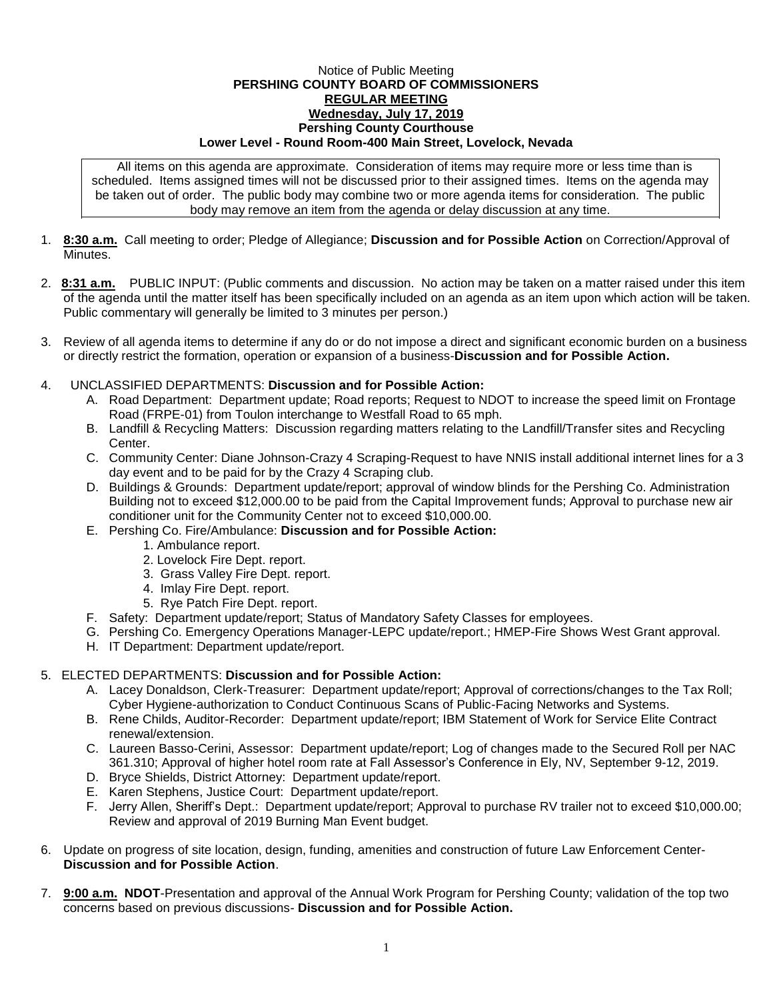## Notice of Public Meeting **PERSHING COUNTY BOARD OF COMMISSIONERS REGULAR MEETING Wednesday, July 17, 2019 Pershing County Courthouse Lower Level - Round Room-400 Main Street, Lovelock, Nevada**

All items on this agenda are approximate. Consideration of items may require more or less time than is scheduled. Items assigned times will not be discussed prior to their assigned times. Items on the agenda may be taken out of order. The public body may combine two or more agenda items for consideration. The public body may remove an item from the agenda or delay discussion at any time.

- 1. **8:30 a.m.** Call meeting to order; Pledge of Allegiance; **Discussion and for Possible Action** on Correction/Approval of **Minutes**
- 2. **8:31 a.m.** PUBLIC INPUT: (Public comments and discussion. No action may be taken on a matter raised under this item of the agenda until the matter itself has been specifically included on an agenda as an item upon which action will be taken. Public commentary will generally be limited to 3 minutes per person.)
- 3. Review of all agenda items to determine if any do or do not impose a direct and significant economic burden on a business or directly restrict the formation, operation or expansion of a business-**Discussion and for Possible Action.**
- 4. UNCLASSIFIED DEPARTMENTS: **Discussion and for Possible Action:**
	- A. Road Department: Department update; Road reports; Request to NDOT to increase the speed limit on Frontage Road (FRPE-01) from Toulon interchange to Westfall Road to 65 mph.
	- B. Landfill & Recycling Matters: Discussion regarding matters relating to the Landfill/Transfer sites and Recycling Center.
	- C. Community Center: Diane Johnson-Crazy 4 Scraping-Request to have NNIS install additional internet lines for a 3 day event and to be paid for by the Crazy 4 Scraping club.
	- D. Buildings & Grounds: Department update/report; approval of window blinds for the Pershing Co. Administration Building not to exceed \$12,000.00 to be paid from the Capital Improvement funds; Approval to purchase new air conditioner unit for the Community Center not to exceed \$10,000.00.
	- E. Pershing Co. Fire/Ambulance: **Discussion and for Possible Action:**
		- 1. Ambulance report.
		- 2. Lovelock Fire Dept. report.
		- 3. Grass Valley Fire Dept. report.
		- 4. Imlay Fire Dept. report.
		- 5. Rye Patch Fire Dept. report.
	- F. Safety: Department update/report; Status of Mandatory Safety Classes for employees.
	- G. Pershing Co. Emergency Operations Manager-LEPC update/report.; HMEP-Fire Shows West Grant approval.
	- H. IT Department: Department update/report.

## 5. ELECTED DEPARTMENTS: **Discussion and for Possible Action:**

- A. Lacey Donaldson, Clerk-Treasurer: Department update/report; Approval of corrections/changes to the Tax Roll; Cyber Hygiene-authorization to Conduct Continuous Scans of Public-Facing Networks and Systems.
- B. Rene Childs, Auditor-Recorder: Department update/report; IBM Statement of Work for Service Elite Contract renewal/extension.
- C. Laureen Basso-Cerini, Assessor: Department update/report; Log of changes made to the Secured Roll per NAC 361.310; Approval of higher hotel room rate at Fall Assessor's Conference in Ely, NV, September 9-12, 2019.
- D. Bryce Shields, District Attorney: Department update/report.
- E. Karen Stephens, Justice Court: Department update/report.
- F. Jerry Allen, Sheriff's Dept.: Department update/report; Approval to purchase RV trailer not to exceed \$10,000.00; Review and approval of 2019 Burning Man Event budget.
- 6. Update on progress of site location, design, funding, amenities and construction of future Law Enforcement Center-**Discussion and for Possible Action**.
- 7. **9:00 a.m. NDOT**-Presentation and approval of the Annual Work Program for Pershing County; validation of the top two concerns based on previous discussions- **Discussion and for Possible Action.**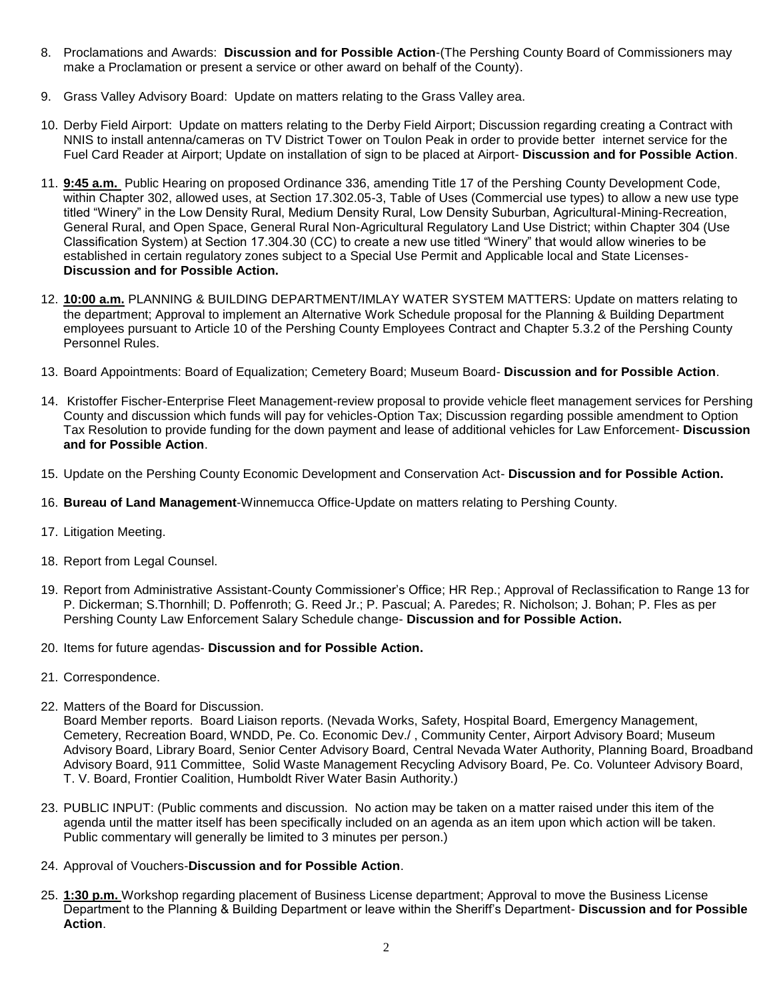- 8. Proclamations and Awards: **Discussion and for Possible Action**-(The Pershing County Board of Commissioners may make a Proclamation or present a service or other award on behalf of the County).
- 9. Grass Valley Advisory Board: Update on matters relating to the Grass Valley area.
- 10. Derby Field Airport: Update on matters relating to the Derby Field Airport; Discussion regarding creating a Contract with NNIS to install antenna/cameras on TV District Tower on Toulon Peak in order to provide better internet service for the Fuel Card Reader at Airport; Update on installation of sign to be placed at Airport- **Discussion and for Possible Action**.
- 11. **9:45 a.m.** Public Hearing on proposed Ordinance 336, amending Title 17 of the Pershing County Development Code, within Chapter 302, allowed uses, at Section 17.302.05-3, Table of Uses (Commercial use types) to allow a new use type titled "Winery" in the Low Density Rural, Medium Density Rural, Low Density Suburban, Agricultural-Mining-Recreation, General Rural, and Open Space, General Rural Non-Agricultural Regulatory Land Use District; within Chapter 304 (Use Classification System) at Section 17.304.30 (CC) to create a new use titled "Winery" that would allow wineries to be established in certain regulatory zones subject to a Special Use Permit and Applicable local and State Licenses-**Discussion and for Possible Action.**
- 12. **10:00 a.m.** PLANNING & BUILDING DEPARTMENT/IMLAY WATER SYSTEM MATTERS: Update on matters relating to the department; Approval to implement an Alternative Work Schedule proposal for the Planning & Building Department employees pursuant to Article 10 of the Pershing County Employees Contract and Chapter 5.3.2 of the Pershing County Personnel Rules.
- 13. Board Appointments: Board of Equalization; Cemetery Board; Museum Board- **Discussion and for Possible Action**.
- 14. Kristoffer Fischer-Enterprise Fleet Management-review proposal to provide vehicle fleet management services for Pershing County and discussion which funds will pay for vehicles-Option Tax; Discussion regarding possible amendment to Option Tax Resolution to provide funding for the down payment and lease of additional vehicles for Law Enforcement- **Discussion and for Possible Action**.
- 15. Update on the Pershing County Economic Development and Conservation Act- **Discussion and for Possible Action.**
- 16. **Bureau of Land Management**-Winnemucca Office-Update on matters relating to Pershing County.
- 17. Litigation Meeting.
- 18. Report from Legal Counsel.
- 19. Report from Administrative Assistant-County Commissioner's Office; HR Rep.; Approval of Reclassification to Range 13 for P. Dickerman; S.Thornhill; D. Poffenroth; G. Reed Jr.; P. Pascual; A. Paredes; R. Nicholson; J. Bohan; P. Fles as per Pershing County Law Enforcement Salary Schedule change- **Discussion and for Possible Action.**
- 20. Items for future agendas- **Discussion and for Possible Action.**
- 21. Correspondence.
- 22. Matters of the Board for Discussion.

Board Member reports. Board Liaison reports. (Nevada Works, Safety, Hospital Board, Emergency Management, Cemetery, Recreation Board, WNDD, Pe. Co. Economic Dev./ , Community Center, Airport Advisory Board; Museum Advisory Board, Library Board, Senior Center Advisory Board, Central Nevada Water Authority, Planning Board, Broadband Advisory Board, 911 Committee, Solid Waste Management Recycling Advisory Board, Pe. Co. Volunteer Advisory Board, T. V. Board, Frontier Coalition, Humboldt River Water Basin Authority.)

- 23. PUBLIC INPUT: (Public comments and discussion. No action may be taken on a matter raised under this item of the agenda until the matter itself has been specifically included on an agenda as an item upon which action will be taken. Public commentary will generally be limited to 3 minutes per person.)
- 24. Approval of Vouchers-**Discussion and for Possible Action**.
- 25. **1:30 p.m.** Workshop regarding placement of Business License department; Approval to move the Business License Department to the Planning & Building Department or leave within the Sheriff's Department- **Discussion and for Possible Action**.